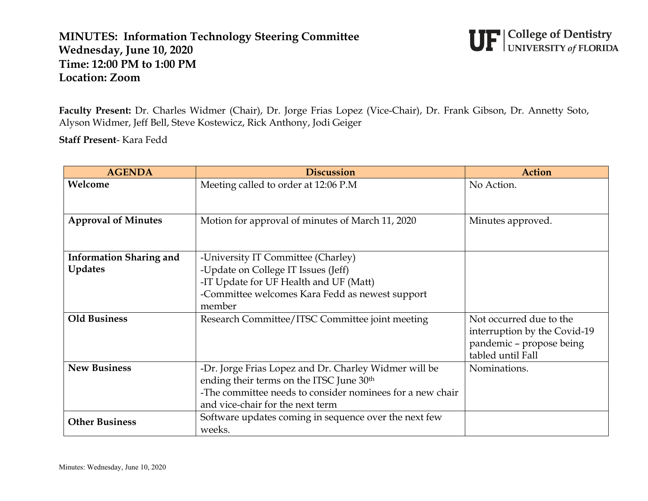## **MINUTES: Information Technology Steering Committee Wednesday, June 10, 2020 Time: 12:00 PM to 1:00 PM Location: Zoom**



**Faculty Present:** Dr. Charles Widmer (Chair), Dr. Jorge Frias Lopez (Vice-Chair), Dr. Frank Gibson, Dr. Annetty Soto, Alyson Widmer, Jeff Bell, Steve Kostewicz, Rick Anthony, Jodi Geiger

**Staff Present**- Kara Fedd

| <b>AGENDA</b>                  | <b>Discussion</b>                                                                                     | <b>Action</b>                |
|--------------------------------|-------------------------------------------------------------------------------------------------------|------------------------------|
| Welcome                        | Meeting called to order at 12:06 P.M                                                                  | No Action.                   |
| <b>Approval of Minutes</b>     | Motion for approval of minutes of March 11, 2020                                                      | Minutes approved.            |
| <b>Information Sharing and</b> | -University IT Committee (Charley)                                                                    |                              |
| <b>Updates</b>                 | -Update on College IT Issues (Jeff)                                                                   |                              |
|                                | -IT Update for UF Health and UF (Matt)                                                                |                              |
|                                | -Committee welcomes Kara Fedd as newest support<br>member                                             |                              |
| <b>Old Business</b>            | Research Committee/ITSC Committee joint meeting                                                       | Not occurred due to the      |
|                                |                                                                                                       | interruption by the Covid-19 |
|                                |                                                                                                       | pandemic - propose being     |
|                                |                                                                                                       | tabled until Fall            |
| <b>New Business</b>            | -Dr. Jorge Frias Lopez and Dr. Charley Widmer will be                                                 | Nominations.                 |
|                                | ending their terms on the ITSC June 30th<br>-The committee needs to consider nominees for a new chair |                              |
|                                |                                                                                                       |                              |
|                                | and vice-chair for the next term                                                                      |                              |
| <b>Other Business</b>          | Software updates coming in sequence over the next few                                                 |                              |
|                                | weeks.                                                                                                |                              |